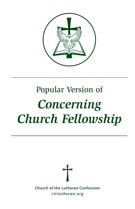

# Popular Version of *Concerning Church Fellowship*

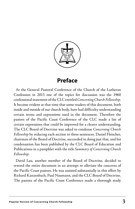

#### **Preface**

At the General Pastoral Conference of the Church of the Lutheran Confession in 2013 one of the topics for discussion was the 1960 confessional statement of the CLC entitled *Concerning Church Fellowship*. It became evident at that time that some readers of this document, both inside and outside of our church body, have had difficulty understanding certain terms and expressions used in the document. Therefore the pastors of the Pacific Coast Conference of the CLC made a list of certain expressions that could be improved for a clearer understanding. The CLC Board of Doctrine was asked to condense *Concerning Church Fellowship* by reducing each section to three sentences. Daniel Fleischer, chairman of the Board of Doctrine, succeeded in doing just that, and his condensation has been published by the CLC Board of Education and Publications in a pamphlet with the title *Summary of Concerning Church Fellowship*.

David Lau, another member of the Board of Doctrine, decided to reword the entire document in an attempt to alleviate the concerns of the Pacific Coast pastors. He was assisted substantially in this effort by Richard Kanzenbach, Paul Naumann, and the CLC Board of Doctrine. The pastors of the Pacific Coast Conference made a thorough study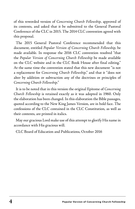of this reworded version of *Concerning Church Fellowship*, approved of its contents, and asked that it be submitted to the General Pastoral Conference of the CLC in 2015. The 2014 CLC convention agreed with this proposal.

The 2015 General Pastoral Conference recommended that this document, entitled *Popular Version of Concerning Church Fellowship*, be made available. In response the 2016 CLC convention resolved "that the *Popular Version of Concerning Church Fellowship* be made available on the CLC website and in the CLC Book House after final editing." At the same time the convention stated that this new document "is not a replacement for *Concerning Church Fellowship*," and that it "does not alter by addition or subtraction any of the doctrines or principles of *Concerning Church Fellowship*."

It is to be noted that in this version the original Epitome of *Concerning Church Fellowship* is retained exactly as it was adopted in 1960. Only the elaboration has been changed. In this elaboration the Bible passages, quoted according to the New King James Version, are in bold face. The confessions of the CLC contained in the CLC Constitution, as well as their contents, are printed in italics.

May our gracious Lord make use of this attempt to glorify His name in accordance with His gracious will.

CLC Board of Education and Publications, October 2016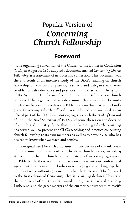### Popular Version of *Concerning Church Fellowship*

#### **Foreword**

The organizing convention of the Church of the Lutheran Confession (CLC) in August of 1960 adopted a document entitled *Concerning Church Fellowship* as a statement of its doctrinal confession. This document was the end result of an intensive study of the Bible's teaching on church fellowship on the part of pastors, teachers, and delegates who were troubled by false doctrines and practices that had arisen in the synods of the Synodical Conference from 1938 to 1960. Before a new church body could be organized, it was determined that there must be unity in what we believe and confess the Bible to say on this matter. By God's grace *Concerning Church Fellowship* was adopted and included as an official part of the CLC Constitution, together with the *Book of Concord*  of 1580, the *Brief Statement* of 1932, and some theses on the doctrine of church and ministry. Since that time *Concerning Church Fellowship*  has served well to present the CLC's teaching and practice concerning church fellowship to its own members as well as to anyone else who has desired to know what we teach and confess.

The original need for such a document arose because of the influence of the ecumenical movement on Christian church bodies, including American Lutheran church bodies. Instead of necessary agreement on Bible truth, there was an emphasis on union without confessional agreement. Lutheran church bodies were merging and working together in Gospel work without agreement in what the Bible says. The foreword to the first edition of *Concerning Church Fellowship* declares: "It is true that the trend of our times is toward union, particularly also among Lutherans, and the great mergers of the current century seem to testify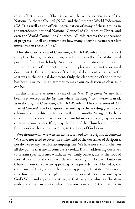to its effectiveness. … Then there are the wider associations of the National Lutheran Council (NLC) and the Lutheran World Federation (LWF), as well as the official participation of many of these groups in the interdenominational National Council of Churches of Christ, and even the World Council of Churches. All this creates the appearance of progress—until one remembers how many doctrinal issues were left unresolved in these unions."

This alternate version of *Concerning Church Fellowship* is not intended to replace the original document, which stands as the official doctrinal position of our church body. Nor does it intend to alter by addition or subtraction any of the doctrines or principles asserted in the original document. In fact, the epitome of the original document remains exactly as it was in the original document. Only the elaboration of the epitome has been rewritten in an attempt to make our confession as clear as it can be.

In this alternate version the text of the *New King James Version* has been used (except in the *Epitome* where the *King James Version* is used, as in the original *Concerning Church Fellowship*). The confessions of *The Book of Concord* have been quoted according to the wording given in the edition of 2000 edited by Robert Kolb and Timothy Wengert. Perhaps this alternate version may prove to be useful in certain congregations in certain circumstances. If so, may the Lord of the Church and the Holy Spirit work with it and through it, to the glory of God alone.

We reiterate what was written in the foreword to the original document: "We have not tried to cover the entire field of the doctrines of Scripture, nor do we see any need for attempting this. We have not even touched on all the points that are in controversy today. But in addressing ourselves to certain specific issues which, as we firmly believe, are at the root of most if not all of the evils which are troubling our beloved Lutheran Church in our time, we are appealing to the precedent established by the confessors of 1580, who in their opening paragraphs stated: Necessity, therefore, requires us to explain these controverted articles according to God's Word and approved writings, so that every one who has Christian understanding can notice which opinion concerning the matters in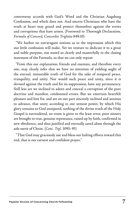controversy accords with God's Word and the Christian Augsburg Confession, and which does not. And sincere Christians who have the truth at heart may guard and protect themselves against the errors and corruptions that have arisen. (Foreword to Thorough Declaration, *Formula of Concord, Concordia Triglotta* 849:10)

"We harbor no extravagant notions as to the impression which this our little confession will make. Yet we venture to dedicate it to a great and noble purpose, one stated so clearly and masterfully in the closing statement of the Formula, so that we can only repeat:

"From this our explanation, friends and enemies, and therefore every one, may clearly infer that we have no intention of yielding aught of the eternal, immutable truth of God for the sake of temporal peace, tranquility, and unity. Nor would such peace and unity, since it is devised against the truth and for its suppression, have any permanency. Still less are we inclined to adorn and conceal a corruption of the pure doctrine and manifest, condemned errors. But we entertain heartfelt pleasure and love for, and are on our part sincerely inclined and anxious to advance, that unity according to our utmost power, by which His glory remains to God uninjured, nothing of the divine truth of the Holy Gospel is surrendered, no room is given to the least error, poor sinners are brought to true, genuine repentance, raised up by faith, confirmed in new obedience, and thus justified and eternally saved alone through the sole merit of Christ. (*Conc. Trgl.* 1095: 95)

"That God may graciously use and bless our halting efforts toward this end, that is our earnest and confident prayer."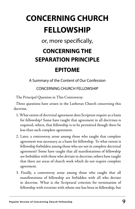## **CONCERNING CHURCH FELLOWSHIP**

or, more specifically,

### **CONCERNING THE SEPARATION PRINCIPLE EPITOME**

A Summary of the Content of Our Confession

CONCERNING CHURCH FELLOWSHIP

The Principal Question in This Controversy

Three questions have arisen in the Lutheran Church concerning this doctrine.

- 1. What extent of doctrinal agreement does Scripture require as a basis for fellowship? Some have taught that agreement in all doctrines is required; others, that fellowship is to be permitted though there be less than such complete agreement.
- 2. Later, a controversy arose among those who taught that complete agreement was necessary as a basis for fellowship. To what extent is fellowship forbidden among those who are not in complete doctrinal agreement? Some have taught that all manifestations of fellowship are forbidden with those who deviate in doctrine; others have taught that there are areas of church work which do not require complete agreement.
- 3. Finally, a controversy arose among those who taught that all manifestations of fellowship are forbidden with all who deviate in doctrine. What is the Scriptural criterion for termination of fellowship with errorists with whom one has been in fellowship, but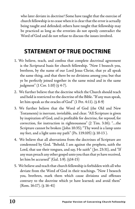who later deviate in doctrine? Some have taught that the exercise of church fellowship is to cease when it is clear that the error is actually being taught and defended; others have taught that fellowship may be practiced as long as the errorists do not openly contradict the Word of God and do not refuse to discuss the issues involved.

### **STATEMENT OF TRUE DOCTRINE**

- 1. We believe, teach, and confess that complete doctrinal agreement is the Scriptural basis for church fellowship. "Now I beseech you, brethren, by the name of our Lord Jesus Christ, that ye all speak the same thing, and that there be no divisions among you; but that ye be perfectly joined together in the same mind and in the same judgment" (1 Cor. 1:10) (§ 4-7).
- 2. We further believe that the doctrine which the Church should teach and hold is restricted to the doctrine of the Bible. "If any man speak, let him speak as the oracles of God" (1 Pet. 4:11). (§ 8-9)
- 3. We further believe that the Word of God (the Old and New Testaments) is inerrant, inviolable, and clear. "All Scripture is given by inspiration of God, and is profitable for doctrine, for reproof, for correction, for instruction in righteousness" (2 Tim. 3:16); "…the Scripture cannot be broken (John 10:35); "Thy word is a lamp unto my feet, and a light unto my path'' (Ps. 119:105) (§ 10-13 ).
- 4. We believe that all aberrations from the doctrines of Scripture are condemned by God. "Behold, I am against the prophets, saith the Lord, that use their tongues, and say, He saith" (Jer. 23:31), and "If any man preach any other gospel unto you than that ye have received, let him be accursed" (Gal. 1:9). (§14-15)
- 5. We believe and teach that church fellowship is forbidden with all who deviate from the Word of God in their teachings. "Now I beseech you, brethren, mark them which cause divisions and offenses contrary to the doctrine which ye have learned; and avoid them" (Rom. 16:17). (§ 16-41)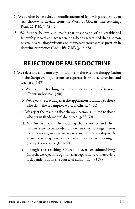- 6. We further believe that all manifestations of fellowship are forbidden with those who deviate from the Word of God in their teachings (Rom. 16:17b). (§ 42-45)
- 7. We further believe and teach that suspension of an established fellowship is to take place when it has been ascertained that a person or group is causing divisions and offenses through a false position in doctrine or practice (Rom. 16:17-18). (§ 46-48)

### **REJECTION OF FALSE DOCTRINE**

- 1. We reject and condemn any limitations on the extent of the application of the Scriptural injunctions to separate from false churches and teachers. (§ 49)
	- a. We reject the teaching that the application is limited to non-Christian bodies. (§ 50)
	- b. We reject the teaching that the application is limited to those who deny the redemptive work of Christ. (§ 51)
	- c. We reject the teaching that the application is limited to those who err in fundamental doctrines. (§ 58-60)
	- d. We further reject the teaching that errorists and their followers are to be avoided only when they no longer listen to admonition, or that we are to remain in fellowship with errorists as long as we think there is hope that they might give up their errors. (§ 61-72)
	- e. Though the teaching Church is ever an admonishing Church, we reject the opinion that separation from errorists is dependent upon the course of admonition. (§ 73)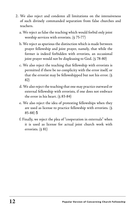- 2. We also reject and condemn all limitations on the intensiveness of such divinely commanded separation from false churches and teachers.
	- a. We reject as false the teaching which would forbid only joint worship services with errorists. (§ 75-77)
	- b. We reject as spurious the distinction which is made between prayer fellowship and joint prayer, namely, that while the former is indeed forbidden with errorists, an occasional joint prayer would not be displeasing to God. (§ 78-80)
	- c. We also reject the teaching that fellowship with errorists is permitted if there be no complicity with the error itself, or that the errorist may be fellowshipped but not his error. (§ 82)
	- d. We also reject the teaching that one may practice outward or external fellowship with errorists, if one does not embrace the error in his heart. (§ 83-84)
	- e. We also reject the idea of protesting fellowships when they are used as license to practice fellowship with errorists. (§ 85-88) 5
	- f. Finally, we reject the plea of "cooperation in externals" when it is used as license for actual joint church work with errorists. (§ 81)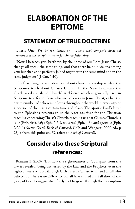### **ELABORATION OF THE EPITOME**

### **STATEMENT OF TRUE DOCTRINE**

Thesis One: *We believe, teach, and confess that complete doctrinal agreement is the Scriptural basis for church fellowship.* 

"Now I beseech you, brethren, by the name of our Lord Jesus Christ, that ye all speak the same thing, and that there be no divisions among you; but that ye be perfectly joined together in the same mind and in the same judgment" (1 Cor. 1:10).

The first thing to be understood about church fellowship is what the Scriptures teach about Christ's Church. In the New Testament the Greek word translated "church" is *ekklesia*, which is generally used in Scripture to refer to those who are believers in Jesus Christ, either the entire number of believers in Jesus throughout the world in every age, or a portion of them at a certain time and place. The apostle Paul's letter to the Ephesians presents to us the *sedes doctrinae* for the Christian teaching concerning Christ's Church, teaching us that Christ's Church is *"one* (Eph. 4:4)*, holy* (Eph. 2:21)*, universal* (Eph. 4:6), *and apostolic* (Eph. 2:20)*"* (*Nicene Creed*, *Book of Concord*, Colb and Wengert, 2000 ed., p 23). (From this point on, *BC* refers to *Book of Concord*).

### **Consider also these Scriptural references:**

Romans 3: 21-24: "But now the righteousness of God apart from the law is revealed, being witnessed by the Law and the Prophets, even the righteousness of God, through faith in Jesus Christ, to all and on all who believe. For there is no difference, for all have sinned and fall short of the glory of God, being justified freely by His grace through the redemption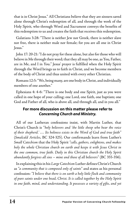that is in Christ Jesus." All Christians believe that they are sinners saved alone through Christ's redemption of all, and through the work of the Holy Spirit, who through Word and Sacrament conveys the benefits of this redemption to us and creates the faith that receives this redemption.

Galatians 3:28: "There is neither Jew nor Greek, there is neither slave nor free, there is neither male nor female; for you are all one in Christ Jesus."

John 17: 20-21: "I do not pray for these alone, but also for those who will believe in Me through their word; that they all may be one, as You, Father, are in Me, and I in You." Jesus' prayer is fulfilled when the Holy Spirit through the Word brings us to faith in Christ, and we become members of the body of Christ and thus united with every other Christian.

Romans 12:5: "We, being many, are one body in Christ, and individually members of one another."

Ephesians 4: 4-6: "There is one body and one Spirit, just as you were called in one hope of your calling; one Lord, one faith, one baptism; one God and Father of all, who is above all, and through all, and in you all."

#### **For more discussion on this matter please refer to**  *Concerning Church and Ministry.*

All of our Lutheran confessions insist, with Martin Luther, that Christ's Church is *"holy believers and 'the little sheep who hear the voice of their shepherd.' … Its holiness exists in the Word of God and true faith"*  (*Smalcald Articles*, BC 324-325). Our confirmands learn from Luther's *Small Catechism* that the Holy Spirit *"calls, gathers, enlightens, and makes holy the whole Christian church on earth and keeps it with Jesus Christ in the one common, true faith. Daily in this Christian church the Holy Spirit abundantly forgives all sins – mine and those of all believers"* (BC 355-356).

In explaining this in his *Large Catechism* Luther defines Christ's Church as *"a community that is composed only of saints"* and states as his personal confession: *"I believe that there is on earth a holy little flock and community of pure saints under one head, Christ. It is called together by the Holy Spirit*  in one faith, mind, and understanding. It possesses a variety of gifts, and yet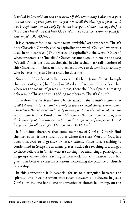*is united in love without sect or schism. Of this community I also am a part and member, a participant and co-partner in all the blessings it possesses. I was brought into it by the Holy Spirit and incorporated into it through the fact that I have heard and still hear God's Word, which is the beginning point for entering it"* (BC, 437-438).

It is customary for us to use the term "invisible" with respect to Christ's holy Christian Church, and to capitalize the word "Church" when it is used in this context. (The practice of capitalizing the word "Church" when it refers to the "invisible" Church has not been uniform in the past.) We call it "invisible" because the faith in Christ that marks all members of this Church cannot be seen in the sense that we can determine absolutely who believes in Jesus Christ and who does not.

Since the Holy Spirit calls persons to faith in Jesus Christ through the means of grace (the Gospel in Word and Sacrament), it is clear that wherever the means of grace are in use, there the Holy Spirit is creating believers in Christ and thus adding members to Christ's Church.

Therefore *"we teach that this Church, which is the invisible communion of all believers, is to be found not only in those external church communions which teach the Word of God purely in every part, but also where, along with error, so much of the Word of God still remains that men may be brought to the knowledge of their sins and to faith in the forgiveness of sins, which Christ has gained for all men"* (*Brief Statement of 1932*, #26).

It is obvious therefore that some members of Christ's Church find themselves in visible church bodies where the clear Word of God has been obscured to a greater or lesser extent. Since false teaching is condemned in Scripture in many places, such false teaching is a danger to those believers in Christ who are wittingly or unwittingly participants in groups where false teaching is tolerated. For this reason God has given His believers clear instructions concerning the practice of church fellowship.

In this connection it is essential for us to distinguish between the spiritual and invisible union that exists between all believers in Jesus Christ, on the one hand, and the practice of church fellowship, on the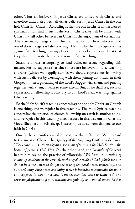other. Thus all believers in Jesus Christ are united with Christ and therefore united also with all other believers in Jesus Christ in the one holy Christian Church. Accordingly, they are one in Christ with a blessed spiritual union, and as such believers in Christ they will be united with Christ and all other believers in Christ in the enjoyment of eternal life. There are many dangers that threaten the faith of these believers, and one of these dangers is false teaching. That is why the Holy Spirit warns against false teaching in many places and teaches believers in Christ that they should separate themselves from all false teaching.

Satan is always attempting to lead believers astray regarding this matter. For he suggests that since there are believers in false-teaching churches (which we happily admit), we should express our fellowship with such believers by worshiping with them, joining with them in their Gospel ministry, partaking of the Lord's Supper with them, and praying together with them, at least to some extent. But, as we shall see, such an expression of fellowship is contrary to our Lord's clear warnings against false teaching.

So the Holy Spirit's teaching concerning the one holy Christian Church is one thing, and we rejoice in this teaching. The Holy Spirit's teaching concerning the practice of church fellowship on earth is another thing, and we rejoice in this teaching also, because in this way our Lord, as the Good Shepherd of His sheep, is steering us away from dangers to our faith in Christ.

Our Lutheran confessions also recognize this difference. With regard to the invisible Church the *Apology of the Augsburg Confession* declares: *"The church … is principally an association of faith and the Holy Spirit in the hearts of persons"* (BC 174). On the other hand, the *Formula of Concord*  has this to say on the practice of fellowship: *"We have no intention of giving up anything of the eternal, unchangeable truth of God (which we also do not have the power to do) for the sake of temporal peace, tranquility, and outward unity. Such peace and unity, which is intended to contradict the truth and suppress it, would not last. It makes even less sense to whitewash and cover up falsifications of pure teaching and publicly condemned errors. Rather*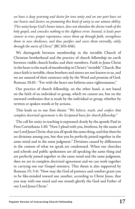*we have a deep yearning and desire for true unity and on our part have set our hearts and desires on promoting this kind of unity to our utmost ability. This unity keeps God's honor intact, does not abandon the divine truth of the holy gospel, and concedes nothing to the slightest error. Instead, it leads poor sinners to true, proper repentance, raises them up through faith, strengthens them in new obedience, and thus justifies and saves them eternally, solely through the merit of Christ"* (BC 655-656).

We distinguish between membership in the invisible Church of Christian brotherhood and the practice of church fellowship on earth between visible church bodies and their members. Faith in Jesus Christ in the heart is the mark of membership in Christ's "invisible" Church. But since faith is invisible, these brothers and sisters are not known to us, and we are assured of their existence only by the Word and promise of God. Romans 10:10 - "For with the heart one believes unto righteousness."

Our practice of church fellowship, on the other hand, is not based on the faith of an individual or group, which we cannot see, but on the outward confession that is made by the individual or group, whether by written or spoken words or by actions.

This leads us to our first thesis: *"We believe, teach, and confess that complete doctrinal agreement is the Scriptural basis for church fellowship."* 

The call for unity in teaching is expressed clearly by the apostle Paul in First Corinthians 1:10: "Now I plead with you, brethren, by the name of our Lord Jesus Christ, that you all speak the same thing, and that there be no divisions among you, but that you be perfectly joined together in the same mind and in the same judgment." Divisions caused by differences in the content of what we speak are condemned. When our churches and schools and public spokesmen are all speaking the same thing and are perfectly joined together in the same mind and the same judgment, then we are in complete doctrinal agreement and we can work together in carrying out our Gospel ministry. This thesis is also supported by Romans 15: 5-6: "Now may the God of patience and comfort grant you to be like-minded toward one another, according to Christ Jesus, that you may with one mind and one mouth glorify the God and Father of our Lord Jesus Christ."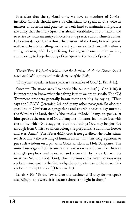It is clear that the spiritual unity we have as members of Christ's invisible Church should move us Christians to speak as one voice in matters of doctrine and practice, to work hard to maintain and protect the unity that the Holy Spirit has already established in our hearts, and to strive to maintain unity of doctrine and practice in our church bodies. Ephesians 4: 1-3: "I, therefore, the prisoner of the Lord, beseech you to walk worthy of the calling with which you were called, with all lowliness and gentleness, with longsuffering, bearing with one another in love, endeavoring to keep the unity of the Spirit in the bond of peace."

#### Thesis Two: *We further believe that the doctrine which the Church should teach and hold is restricted to the doctrine of the Bible.*

"If any man speak, let him speak as the oracles of God" (1 Pet. 4:11).

Since we Christians are all to speak "the same thing" (1 Cor. 1:10), it is important to know what that thing is that we are to speak. The Old Testament prophets generally began their speaking by saying: "Thus says the LORD" (Jeremiah 2:1 and many other passages). So also the speaking of Christian congregations and church bodies today must be the Word of the Lord, that is, "the oracles of God." "If anyone speaks, let him speak as the oracles of God. If anyone ministers, let him do it as with the ability which God supplies, that in all things God may be glorified through Jesus Christ, to whom belong the glory and the dominion forever and ever. Amen" (First Peter 4:11). God is not glorified when Christians teach or allow the teaching of human wisdom in their congregations, or put such wisdom on a par with God's wisdom in Holy Scripture. The united message of Christians is the revelation sent down from heaven through prophets and apostles, and especially by Jesus Christ, the incarnate Word of God. "God, who at various times and in various ways spoke in time past to the fathers by the prophets, has in these last days spoken to us by His Son" (Hebrews 1:1).

Isaiah 8:20: "To the law and to the testimony! If they do not speak according to this word, it is because there is no light in them."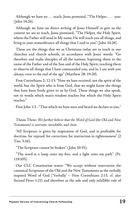Although we have no . . . teach, Jesus promised, "The Helper , . . . you: (John 14:26).

Although we have no direct writing of Jesus Himself to give us the content we are to teach, Jesus promised, "The Helper, the Holy Spirit, whom the Father will send in My name, He will teach you all things, and bring to your remembrance all things that I said to you" (John 14:26).

These are the things that we as Christians today are to teach in our churches and church schools, in accordance with Jesus' words: "Go therefore and make disciples of all the nations, baptizing them in the name of the Father and of the Son and of the Holy Spirit, teaching them to observe all things that I have commanded you; and lo, I am with you always, even to the end of the age" (Matthew 28: 19-20).

First Corinthians 2: 12-13: "Now we have received, not the spirit of the world, but the Spirit who is from God, that we might know the things that have been freely given to us by God. These things we also speak, not in words which man's wisdom teaches but which the Holy Spirit teaches."

First John 1:3 : "That which we have seen and heard we declare to you."

Thesis Three: *We further believe that the Word of God (the Old and New Testaments) is inerrant, inviolable, and clear.* 

"All Scripture is given by inspiration of God, and is profitable for doctrine, for reproof, for correction, for instruction in righteousness" (2 Tim. 3:16);

"The Scripture cannot be broken" (John 10:35);

"Thy word is a lamp unto my feet, and a light unto my path'' (Ps. 119:105).

Our CLC Constitution states: "We accept without reservation the canonical Scriptures of the Old and the New Testaments as the verbally inspired Word of God ('Verbally' – First Corinthians 2:13, cf. also Second Peter 1:21) and therefore as the sole and only infallible rule of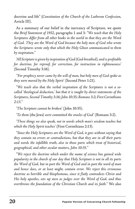doctrine and life" (*Constitution of the Church of the Lutheran Confession*, Article III).

As a summary of our belief in the inerrancy of Scripture, we quote the *Brief Statement of 1932*, paragraphs 1 and 3: *"We teach that the Holy Scriptures differ from all other books in the world in that they are the Word of God. They are the Word of God because the holy men of God who wrote the Scriptures wrote only that which the Holy Ghost communicated to them by inspiration."* 

*'All Scripture is given by inspiration of God (God-breathed), and is profitable for doctrine, for reproof, for correction, for instruction in righteousness'*  (Second Timothy 3:16).

*''For prophecy never came by the will of man, but holy men of God spoke as they were moved by the Holy Spirit'* (Second Peter 1:21).

*"We teach also that the verbal inspiration of the Scriptures is not a socalled 'theological deduction,' but that it is taught by direct statements of the Scriptures, Second Timothy 3:16; John 10:35; Romans 3:2; First Corinthians 2:13."* 

*'The Scripture cannot be broken'* (John 10:35).

*'To them* (the Jews) *were committed the oracles of God'* (Romans 3:2).

*'These things we also speak, not in words which man's wisdom teaches but which the Holy Spirit teaches'* (First Corinthians 2:13).

*"Since the Holy Scriptures are the Word of God, it goes without saying that they contain no errors or contradictions, but that they are in all their parts and words the infallible truth, also in those parts which treat of historical, geographical, and other secular matters, John 10:35."* 

*"We reject the doctrine which under the name of science has gained wide popularity in the church of our day that Holy Scripture is not in all its parts the Word of God, but in part the Word of God and in part the word of man and hence does, or at least might, contain error. We reject this erroneous doctrine as horrible and blasphemous, since it flatly contradicts Christ and His holy apostles, sets up men as judges over the Word of God, and thus overthrows the foundation of the Christian Church and its faith."* We also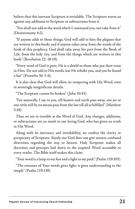believe that this inerrant Scripture is inviolable. The Scripture warns us against any additions to Scripture or subtractions from it.

"You shall not add to the word which I command you, nor take from it" (Deuteronomy 4:2).

"If anyone adds to these things, God will add to him the plagues that are written in this book; and if anyone takes away from the words of the book of this prophecy, God shall take away his part from the Book of Life, from the holy city, and from the things which are written in this book" (Revelation 22: 18-19).

"Every word of God is pure; He is a shield to those who put their trust in Him. Do not add to His words, lest He rebuke you, and you be found a liar" (Proverbs 30: 5-6).

It is also clear that God will allow no tampering with His Word, even in seemingly insignificant details.

"The Scripture cannot be broken" (John 10:35).

"For assuredly, I say to you, till heaven and earth pass away, one jot or one tittle will by no means pass from the law till all is fulfilled" (Matthew 5:18).

Thus we are to tremble at the Word of God. Any changes, additions, or subtractions are an insult to our loving God, who has given us truth in His Word.

Along with its inerrancy and inviolability, we confess the clarity or perspicuity of Scripture. Surely our God does not give sinners confused directions regarding the way to heaven. Holy Scripture makes all doctrines and precepts laid down in the inspired Word accessible to every reader. The Bible itself makes this claim.

"Your word is a lamp to my feet and a light to my path" (Psalm 119:105).

"The entrance of Your words gives light; it gives understanding to the simple" (Psalm 119:130).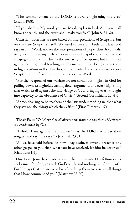"The commandment of the LORD is pure, enlightening the eyes" (Psalm 19:8).

"If you abide in My word, you are My disciples indeed. And you shall know the truth, and the truth shall make you free" (John 8: 31-32).

Christian doctrines are not based on interpretations of Scripture, but on the bare Scripture itself. We need to base our faith on what God says in His Word, not on the interpretations of pope, church councils, or synods. The many differences in the teaching of church bodies and congregations are not due to the unclarity of Scripture, but to human ignorance, misguided teaching, or obstinacy. Human beings, even those in high position in the churches, all too easily desire to be masters over Scripture and refuse to submit to God's clear Word.

"For the weapons of our warfare are not carnal but mighty in God for pulling down strongholds, casting down arguments and every high thing that exalts itself against the knowledge of God, bringing every thought into captivity to the obedience of Christ" (Second Corinthians 10: 4-5).

"Some, desiring to be teachers of the law, understanding neither what they say nor the things which they affirm" (First Timothy 1:7).

Thesis Four: *We believe that all aberrations from the doctrines of Scripture are condemned by God.* 

"'Behold, I am against the prophets,' says the LORD, 'who use their tongues and say, "He says"'" (Jeremiah 23:31).

"As we have said before, so now I say again, if anyone preaches any other gospel to you than what you have received, let him be accursed" (Galatians 1:9).

Our Lord Jesus has made it clear that He wants His followers, as spokesmen for God, to teach God's truth, and nothing but God's truth. For He says that we are to be busy "teaching them to observe all things that I have commanded you" (Matthew 28:20).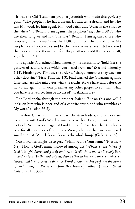It was the Old Testament prophet Jeremiah who made this perfectly plain. "The prophet who has a dream, let him tell a dream; and he who has My word, let him speak My word faithfully. What is the chaff to the wheat? … 'Behold, I am against the prophets,' says the LORD, 'who use their tongues and say, "He says." Behold, I am against those who prophesy false dreams,' says the LORD, 'and tell them, and cause My people to err by their lies and by their recklessness. Yet I did not send them or command them; therefore they shall not profit this people at all, says the LORD."

The apostle Paul admonished Timothy, his assistant, to "hold fast the pattern of sound words which you heard from me" (Second Timothy 1:13). He also gave Timothy the order to "charge some that they teach no other doctrine" (First Timothy 1:3). Paul warned the Galatians against false teachers who mix error with the truth: "As we have said before, so now I say again, if anyone preaches any other gospel to you than what you have received, let him be accursed" (Galatians 1:9).

The Lord spoke through the prophet Isaiah: "But on this one will I look: on him who is poor and of a contrite spirit, and who trembles at My word." (Isaiah 66:2).

Therefore Christians, in particular Christian leaders, should not dare to tamper with God's Word or mix error with it. Every sin with respect to God's Word is a sin against God Himself. It is clear that this holds true for all aberrations from God's Word, whether they are considered small or great. "A little leaven leavens the whole lump" (Galatians 5:9).

Our Lord has taught us to pray: "Hallowed be Your name" (Matthew 6:9). How is God's name hallowed among us? *"Whenever the Word of God is taught clearly and purely and we, as God's children, also live holy lives according to it. To this end help us, dear Father in heaven! However, whoever teaches and lives otherwise than the Word of God teaches profanes the name of God among us. Preserve us from this, heavenly Father!"* (*Luther's Small Catechism*, BC 356).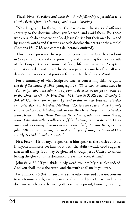Thesis Five: *We believe and teach that church fellowship is forbidden with all who deviate from the Word of God in their teachings.* 

"Now I urge you, brethren, note those who cause divisions and offenses contrary to the doctrine which you learned, and avoid them. For those who are such do not serve our Lord Jesus Christ, but their own belly, and by smooth words and flattering speech deceive the hearts of the simple" (Romans 16: 17-18, one comma deliberately omitted).

This Thesis presents the separation principle that God has laid out in Scripture for the sake of protecting and preserving for us the truth of the Gospel, the sole source of faith, life, and salvation. Scripture emphatically demands that Christians separate themselves from all who deviate in their doctrinal position from the truth of God's Word.

For a summary of what Scripture teaches concerning this, we quote the *Brief Statement of 1932*, paragraph 28: *"Since God ordained that His Word only, without the admixture of human doctrine, be taught and believed in the Christian Church, First Peter 4:11; John 8: 31-32; First Timothy 6: 3-4, all Christians are required by God to discriminate between orthodox and heterodox church bodies, Matthew 7:15, to have church fellowship only with orthodox church bodies, and, in case they have strayed into heterodox church bodies, to leave them, Romans 16:17. We repudiate unionism, that is, church fellowship with the adherents of false doctrine, as disobedience to God's command, as causing divisions in the Church* [sic]*, Romans 16:17; Second John 9-10, and as involving the constant danger of losing the Word of God entirely, Second Timothy 2: 17-21."* 

First Peter 4:11: "If anyone speaks, let him speak as the oracles of God. If anyone ministers, let him do it with the ability which God supplies, that in all things God may be glorified through Jesus Christ, to whom belong the glory and the dominion forever and ever. Amen."

John 8: 31-32: "If you abide in My word, you are My disciples indeed. And you shall know the truth, and the truth shall make you free."

First Timothy 6: 3-4: "If anyone teaches otherwise and does not consent to wholesome words, even the words of our Lord Jesus Christ, and to the doctrine which accords with godliness, he is proud, knowing nothing,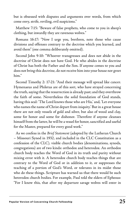but is obsessed with disputes and arguments over words, from which come envy, strife, reviling, evil suspicions."

Matthew 7:15: "Beware of false prophets, who come to you in sheep's clothing, but inwardly they are ravenous wolves."

Romans 16:17: "Now I urge you, brethren, note those who cause divisions and offenses contrary to the doctrine which you learned, and avoid them" (one comma deliberately omitted).

Second John 9-10: "Whoever transgresses and does not abide in the doctrine of Christ does not have God. He who abides in the doctrine of Christ has both the Father and the Son. If anyone comes to you and does not bring this doctrine, do not receive him into your house nor greet him."

Second Timothy 2: 17-21: "And their message will spread like cancer. Hymenaeus and Philetus are of this sort, who have strayed concerning the truth, saying that the resurrection is already past; and they overthrow the faith of some. Nevertheless the solid foundation of God stands, having this seal: 'The Lord knows those who are His,' and, 'Let everyone who names the name of Christ depart from iniquity.' But in a great house there are not only vessels of gold and silver, but also of wood and clay, some for honor and some for dishonor. Therefore if anyone cleanses himself from the latter, he will be a vessel for honor, sanctified and useful for the Master, prepared for every good work."

As we confess in the *Brief Statement* (adopted by the Lutheran Church – Missouri Synod in 1932, and included in the CLC Constitution as a confession of the CLC)*,* visible church bodies (denominations, synods, congregations) are of two kinds: orthodox and heterodox. An orthodox church body teaches the Word of God in its truth and purity without mixing error with it. A heterodox church body teaches things that are contrary to the Word of God or in addition to it, or suppresses the teaching of a portion of God's Word, or tolerates in its midst those who do these things. Scripture has warned us that there would be such heterodox church bodies. For example, Paul told the elders of Ephesus: "For I know this, that after my departure savage wolves will enter in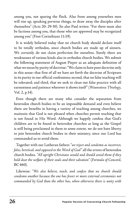among you, not sparing the flock. Also from among yourselves men will rise up, speaking perverse things, to draw away the disciples after themselves" (Acts 20: 29-30). So also Paul writes: "For there must also be factions among you, that those who are approved may be recognized among you" (First Corinthians 11:19).

It is widely believed today that no church body should declare itself to be totally orthodox, since church bodies are made up of sinners. We certainly do not claim perfection for ourselves. Surely there are weaknesses of various kinds also in orthodox church bodies. We submit the following statement of August Pieper as an adequate definition of what we mean by purity of doctrine: "We claim to have pure doctrine only in this sense: that first of all we have set forth the doctrine of Scripture in its purity in our official confessions; second, that no false teaching will be tolerated; and third, that we seek to clean out false practice with all earnestness and patience wherever it shows itself " (*Wauwatosa Theology*, Vol. 2, p.14).

Even though there are many who consider the separation from heterodox church bodies to be an impossible demand and even believe there are benefits in having a variety of teaching among churches, we maintain that God is not pleased when churches permit teaching that is not found in His Word. Although we happily confess that God's children are to be found in heterodox churches as long as the Gospel is still being proclaimed in them to some extent, we do not have liberty to join heterodox church bodies in their ministry, since our Lord has commanded us to avoid them.

Together with our Lutheran fathers *"we reject and condemn as incorrect, false, heretical, and opposed to the Word of God"* all the errors of heterodox church bodies. *"All upright Christians would and should avoid them if they hold dear the welfare of their souls and their salvation"* (*Formula of Concord*, BC 660).

Likewise: *"We also believe, teach, and confess that no church should condemn another because the one has fewer or more external ceremonies not commanded by God than the other has, when otherwise there is unity with*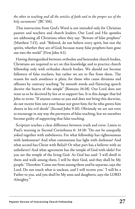*the other in teaching and all the articles of faith and in the proper use of the holy sacraments"* (BC 516).

This instruction from God's Word is not intended only for Christian pastors and teachers and church leaders. Our Lord and His apostles are addressing all Christians when they say: "Beware of false prophets" (Matthew 7:15), and: "Beloved, do not believe every spirit, but test the spirits, whether they are of God; because many false prophets have gone out into the world" (First John 4:1).

Having distinguished between orthodox and heterodox church bodies, Christians are required to act on this knowledge and to practice church fellowship only with orthodox church bodies. We should not become followers of false teachers, but rather we are to flee from them. The reason for such avoidance is plain, for those who cause divisions and offenses by contrary teaching "by smooth words and flattering speech deceive the hearts of the simple" (Romans 16:18). Our Lord does not want us to be deceived by lies or to support lies. It is this danger that led John to write: "If anyone comes to you and does not bring this doctrine, do not receive him into your house nor greet him; for he who greets him shares in his evil deeds" (Second John 9-10). Obviously we are not even to encourage in any way the purveyors of false teaching, lest we ourselves become guilty of supporting that false teaching.

Scripture teaches a clear difference between truth and error. Listen to Paul's warning in Second Corinthians 6: 14-18: "Do not be unequally yoked together with unbelievers. For what fellowship has righteousness with lawlessness? And what communion has light with darkness? And what accord has Christ with Belial? Or what part has a believer with an unbeliever? And what agreement has the temple of God with idols? For you are the temple of the living God. As God has said: 'I will dwell in them and walk among them. I will be their God, and they shall be My people.' Therefore 'Come out from among them and be separate, says the Lord. Do not touch what is unclean, and I will receive you.' 'I will be a Father to you, and you shall be My sons and daughters, says the LORD Almighty.'"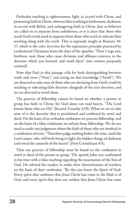Orthodox teaching is righteousness, light, in accord with Christ, and promoting faith in Christ, whereas false teaching is lawlessness, darkness, in accord with Belial, and endangering faith in Christ. Just as believers are called on to separate from unbelievers, so it is clear that those who teach God's truth need to separate from those who teach or tolerate false teaching along with the truth. This is expressly taught in Romans 16: 17, which is the *sedes doctrinae* for the separation principle practiced by confessional Christians from the days of the apostles. "Now I urge you, brethren, note those who cause divisions and offenses contrary to the doctrine which you learned, and avoid them" (one comma purposely omitted).

Note that Paul in this passage calls for both distinguishing between truth and error ("Note") and acting on that knowledge ("Avoid"). We are directed to take note of those who are deviating from God's truth by teaching or tolerating false doctrine alongside of the true doctrine, and we are directed to avoid them.

The practice of fellowship cannot be based on whether a person or group has faith in Christ, for God alone can read hearts. "The Lord knows those who are His" (Second Timothy 2:19). What we are to take note of is the doctrine that is proclaimed and confessed by word and deed. On the basis of an orthodox confession we practice fellowship, and on the basis of a false confession we refrain from fellowship. We do not need to make any judgments about the faith of those who are involved in a confession of error. "Therefore judge nothing before the time, until the Lord comes, who will both bring to light the hidden things of darkness and reveal the counsels of the hearts" (First Corinthians 4:5).

Thus our practice of fellowship must be based on the confession in word or deed of the person or group. The apostle John was confronted in his time with a false teaching regarding the incarnation of the Son of God. He advised his readers to make their determination of teachers on the basis of their confession. "By this you know the Spirit of God: Every spirit that confesses that Jesus Christ has come in the flesh is of God, and every spirit that does not confess that Jesus Christ has come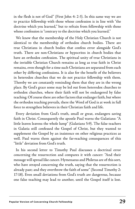in the flesh is not of God" (First John 4: 2-3). In this same way we are to practice fellowship with those whose confession is in line with "the doctrine which you learned," but to refrain from fellowship with those whose confession is "contrary to the doctrine which you learned."

We know that the membership of the Holy Christian Church is not identical to the membership of orthodox church bodies. There are true Christians in church bodies that confess error alongside God's truth. There are non-Christians or hypocrites in church bodies that have an orthodox confession. The spiritual unity of true Christians in the invisible Christian Church remains as long as true faith in Christ remains, even though for a time such Christians are separated from each other by differing confessions. It is also for the benefit of the believers in heterodox churches that we do not practice fellowship with them. Thereby we are constantly reminding them that they are in the wrong place. By God's grace some may be led out from heterodox churches to orthodox churches, where their faith will not be endangered by false teaching. Of course there are other factors that endanger faith, but where the orthodox teaching prevails, there the Word of God is at work in full force to strengthen believers in their Christian faith and life.

Every deviation from God's truth, small or great, endangers saving faith in Christ. Consequently the apostle Paul warns the Galatians: "A little leaven leavens the whole lump" (Galatians 5:9). The false teachers in Galatia still confessed the Gospel of Christ, but they wanted to supplement the Gospel by an insistence on other religious practices as well. Paul warns them against the far-reaching consequences of this "little" deviation from God's truth.

In his second letter to Timothy Paul discusses a doctrinal error concerning the resurrection and compares it with cancer: "And their message will spread like cancer. Hymenaeus and Philetus are of this sort, who have strayed concerning the truth, saying that the resurrection is already past; and they overthrow the faith of some" (Second Timothy 2: 17-18). Even small deviations from God's truth are dangerous, because one false teaching may lead to another, until the Gospel itself is lost.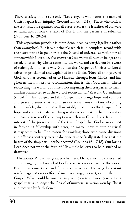There is safety in one rule only: "Let everyone who names the name of Christ depart from iniquity" (Second Timothy 2:19). Those who confess the truth should separate from all error, even as the Israelites of old were to stand apart from the tents of Korah and his partners in rebellion (Numbers 16: 20-24).

This separation principle is often denounced as being legalistic rather than evangelical. But it is a principle which is in complete accord with the heart of the Gospel. For it is the Gospel of universal salvation for all sinners which is at stake. We know that God wants all human beings to be saved. That is why Christ came into the world and carried out His work of redemption. That is why God has this Gospel of Christ's universal salvation proclaimed and explained in the Bible. "Now all things are of God, who has reconciled us to Himself through Jesus Christ, and has given us the ministry of reconciliation, that is, that God was in Christ reconciling the world to Himself, not imputing their trespasses to them, and has committed to us the word of reconciliation" (Second Corinthians 5: 18-19). This Gospel, and this Gospel only, brings hope and comfort and peace to sinners. Any human deviation from this Gospel coming from man's legalistic spirit will inevitably tend to rob the Gospel of its hope and comfort. False teaching is always a threat to the universality and completeness of the redemption which is in Christ Jesus. It is in the interest of the preservation of the true Gospel that God is so explicit in forbidding fellowship with error, no matter how minute or trivial it may seem to be. The reason for avoiding those who cause divisions and offenses contrary to true doctrine is specifically stated: so that the hearts of the simple will not be deceived (Romans 16: 17-18). Our loving Lord does not want the faith of His simple believers to be disturbed or destroyed.

The apostle Paul is our great teacher here. He was certainly concerned about bringing the Gospel of God's peace to every corner of the world. But at the same time, and for the same reason, He waged constant warfare against every effort of man to change, pervert, or mutilate the Gospel. What could be worse than passing on to the next generation a gospel that is no longer the Gospel of universal salvation won by Christ and received by faith alone?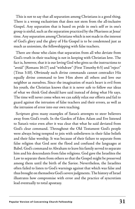This is not to say that all separation among Christians is a good thing. There is a wrong exclusivism that does not stem from the all-inclusive Gospel. Any separation that is based on pride in one's self or in one's group is sinful, such as the separation practiced by the Pharisees at Jesus' time. Any separation among Christians which is not made in the interest of God's glory and the glory of His Gospel is to be condemned just as much as unionism, the fellowshipping with false teachers.

There are those who claim that separation from all who deviate from God's truth in their teaching is not in keeping with Christian love. The fact is, however, that it is our loving God who gives us the instructions to "avoid" (Romans 16:17) and "withdraw" (First Timothy 6:5) and "reject" (Titus 3:10). Obviously such divine commands cannot contradict His equally divine command to love Him above all others and love our neighbor as ourselves. Since the imagination of man's heart is evil from his youth, the Christian knows that it is never safe to follow our ideas of what we think God should have said instead of doing what He says. The time will never come when we can safely relax our efforts and fail to guard against the intrusion of false teachers and their errors, as well as the intrusion of error into our own teaching.

Scripture gives many examples of Satan's attempts to steer believers away from God's truth. In the Garden of Eden Adam and Eve listened to Satan's voice even after it was clear that what he said deviated from God's clear command. Throughout the Old Testament God's people were always being tempted to join with unbelievers in their false beliefs and their false worship. It was because of their failure to separate from false religion that God sent the flood and confused the languages at Babel. God's command to Abraham to leave his family served to separate him and his descendants from false religions. God gave the Israelites the Law to separate them from others so that the Gospel might be preserved among them until the birth of the Savior. Nevertheless, the Israelites often failed to listen to God's warnings against that which was false and thus brought on themselves God's severe judgments. The history of Israel illustrates how compromise with error and the practice of syncretism lead eventually to total apostasy.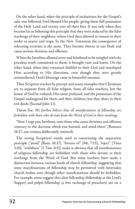On the other hand, when the principle of exclusivism for the Gospel's sake was followed, God blessed His people, giving them full possession of the Holy Land and victory over all their foes. It was only when they became lax in following this principle that they were seduced by the false teachings of their neighbors, whom God then allowed to remain in their midst as snares and traps. In the New Testament the consequence of tolerating errorists is the same. They become thorns in our flesh and cause serious divisions and offenses.

When the Israelites allowed error and falsehood to be mingled with the priceless truth committed to them, it brought ruin and havoc. On the other hand, when they remained faithful to their God and worshiped Him according to His directions, even though they were greatly outnumbered, God's blessings came in bountiful measure.

Thus Scripture teaches by precept and many examples that Christians are to separate from all false religion, from all false teachers, lest the honor of God be violated, His name profaned, and the possession of the Gospel endangered for them and their children; lest they share in their evil deeds (Second John 11).

Thesis Six: *We further believe that all manifestations of fellowship are forbidden with those who deviate from the Word of God in their teachings.* 

"Now I urge you, brethren, note those who cause divisions and offenses contrary to the doctrine which you learned, and avoid them" (Romans 16:17, one comma deliberately omitted).

The strong Scriptural words used in enunciating the separation principle ("avoid" [Rom. 16:17], "beware of" [Mt. 7:15], "reject" [Titus 3:10], "withdraw" [1 Tim. 6:5]) make it obvious that all manifestations of religious fellowship are forbidden with those who deviate in their teachings from the Word of God. But some teachers have made a distinction between various kinds of church fellowship, suggesting that some manifestations of fellowship may be permitted with heterodox church bodies even though other manifestations should be forbidden. For example, some suggest that altar fellowship (fellowship at the Lord's Supper) and pulpit fellowship (a free exchange of preachers) are on a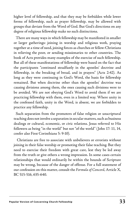higher level of fellowship, and that they may be forbidden while lower forms of fellowship, such as prayer fellowship, may be allowed with groups that deviate from the Word of God. But God's directions on any degree of religious fellowship make no such distinctions.

There are many ways in which fellowship may be manifested in smaller or larger gatherings: joining in worship and religious work, praying together at a time of need, joining forces as churches or fellow-Christians in relieving the poor, or sending missionaries to other countries. The book of Acts provides many examples of the exercise of such fellowship. But all of these manifestations of fellowship were based on the fact that the participants "continued steadfastly in the apostles' doctrine and fellowship, in the breaking of bread, and in prayers" (Acts 2:42). As long as they were continuing in God's Word, the basis for fellowship remained. But when doctrine other than the apostles' doctrine was causing divisions among them, the ones causing such divisions were to be avoided. We are not obeying God's Word to avoid them if we are practicing fellowship with them, even in a limited way. Where unity in the confessed faith, unity in the Word, is absent, we are forbidden to practice any fellowship.

Such separation from the promoters of false religion or unscriptural teaching does not involve a separation in secular matters, such as business dealings or cultural, economic, or civic relations. Jesus referred to His followers as being "in the world" but not "of the world" (John 17: 11, 14, confer also First Corinthians 5: 9-10).

 Christians are free to associate with unbelievers or errorists without joining in their false worship or promoting their false teaching. But they need to exercise their freedom with great care, lest they be led away from the truth or give others a wrong impression. In some cases certain relationships that would ordinarily be within the bounds of Scripture may be wrong, because of the danger of offense. For a full statement of our confession on this matter, consult the *Formula of Concord*, Article X, BC 515-516, 635-640.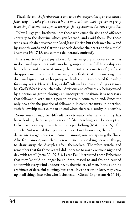Thesis Seven: *We further believe and teach that suspension of an established fellowship is to take place when it has been ascertained that a person or group is causing divisions and offenses through a false position in doctrine or practice.* 

"Now I urge you, brethren, note those who cause divisions and offenses contrary to the doctrine which you learned, and avoid them. For those who are such do not serve our Lord Jesus Christ, but their own belly, and by smooth words and flattering speech deceive the hearts of the simple" (Romans 16: 17-18, one comma deliberately omitted).

It is a matter of great joy when a Christian group discovers that it is in doctrinal agreement with another group and that full fellowship can be declared and practiced among them. But it is a matter of grief and disappointment when a Christian group finds that it is no longer in doctrinal agreement with a group with which it has exercised fellowship for many years. Nevertheless, as difficult and as heart-rending as it may be, God's Word is clear that when divisions and offenses are being caused by a person or group through an unscriptural position, it is necessary that fellowship with such a person or group come to an end. Since the only basis for the practice of fellowship is complete unity in doctrine, such fellowship must come to an end when there is disunity in doctrine.

Sometimes it may be difficult to determine whether the unity has been broken, because promoters of false teaching can be deceptive. False teachers array themselves in sheep's clothing (Matthew 7:15). The apostle Paul warned the Ephesian elders: "For I know this, that after my departure savage wolves will come in among you, not sparing the flock. Also from among yourselves men will rise up, speaking perverse things, to draw away the disciples after themselves. Therefore watch, and remember that for three years I did not cease to warn everyone night and day with tears" (Acts 20: 29-31). Later Paul instructed these Ephesians that they "should no longer be children, tossed to and fro and carried about with every wind of doctrine, by the trickery of men, in the cunning craftiness of deceitful plotting, but, speaking the truth in love, may grow up in all things into Him who is the head – Christ" (Ephesians 4: 14-15).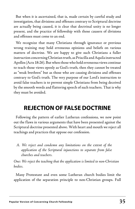But when it is ascertained, that is, made certain by careful study and investigation, that divisions and offenses contrary to Scriptural doctrine are actually being caused, it is clear that doctrinal unity is no longer present, and the practice of fellowship with those causers of divisions and offenses must come to an end.

We recognize that many Christians through ignorance or previous wrong training may hold erroneous opinions and beliefs on various matters of doctrine. We are happy to give such Christians a fuller instruction concerning Christian truth, as Priscilla and Aquila instructed Apollos (Acts 18:26). But when those who hold erroneous views continue to teach those views openly as God's truth, then they cannot be treated as "weak brethren" but as those who are causing divisions and offenses contrary to God's truth. The very purpose of our Lord's instruction to avoid false teachers is to prevent simple Christians from being deceived by the smooth words and flattering speech of such teachers. That is why they must be avoided.

### **REJECTION OF FALSE DOCTRINE**

Following the pattern of earlier Lutheran confessions, we now point out the flaws in various arguments that have been presented against the Scriptural doctrine presented above. With heart and mouth we reject all teachings and practices that oppose our confession.

*A. We reject and condemn any limitations on the extent of the application of the Scriptural injunctions to separate from false churches and teachers.*

*One: We reject the teaching that the application is limited to non-Christian bodies.* 

Many Protestant and even some Lutheran church bodies limit the application of the separation principle to non-Christian groups. Full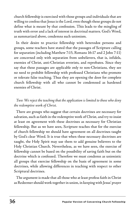church fellowship is exercised with those groups and individuals that are willing to confess that Jesus is the Lord, even though these groups do not define what is meant by that confession. This leads to the mingling of truth with error and a lack of interest in doctrinal matters. God's Word, as summarized above, condemns such unionism.

In their desire to practice fellowship with heterodox persons and groups, some teachers have stated that the passages of Scripture calling for separation (including Matthew 7:15, Romans 16:17 and 2 John 7-11) are concerned only with separation from unbelievers, that is, infidels, enemies of Christ, anti-Christian errorists, and reprobates. Since they say that these passages are applicable only to non-Christians, they see no need to prohibit fellowship with professed Christians who promote or tolerate false teaching. Thus they are opening the door for complete church fellowship with all who cannot be condemned as hardened enemies of Christ.

#### *Two: We reject the teaching that the application is limited to those who deny the redemptive work of Christ.*

There are groups who suggest that certain doctrines are necessary for salvation, such as faith in the redemptive work of Christ, and try to insist at least on agreement with these doctrines as necessary for Christian fellowship. But as we have seen, Scripture teaches that for the exercise of church fellowship we should have agreement on all doctrines taught by God's clear Word. It is true that when these necessary doctrines are taught, the Holy Spirit may use them to add genuine believers to the Holy Christian Church. Nevertheless, as we have seen, the exercise of fellowship cannot be based on the possibility of saving faith but on the doctrine which is confessed. Therefore we must condemn as unionistic all groups that exercise fellowship on the basis of agreement in some doctrines, while allowing differences in teaching with respect to other Scriptural doctrines.

The argument is made that all those who at least profess faith in Christ as Redeemer should work together in union, in keeping with Jesus' prayer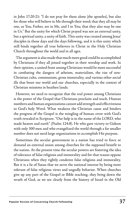in John 17:20-21: "I do not pray for these alone (the apostles), but also for those who will believe in Me through their word; that they all may be one, as You, Father, are in Me, and I in You; that they also may be one in Us." But the unity for which Christ prayed was not an external unity, but a spiritual unity, a unity of faith. This unity was created among Jesus' disciples in those days and the days following, and it is this unity which still binds together all true believers in Christ in the Holy Christian Church throughout the world and in all ages.

The argument is also made that much more good could be accomplished by Christians if they all joined together in their worship and work. In their opinion, a united front among Christians would be more successful in combating the dangers of atheism, materialism, the rise of non-Christian cults, communism, gross immorality, and various other social ills that beset our world and our churches, especially in the context of Christian missions in heathen lands.

However, we need to recognize that the real power among Christians is the power of the Gospel that Christians proclaim and teach. Human numbers and human organizations cannot add strength and effectiveness to God's holy Word. What weakens the Christian cause and hinders the progress of the Gospel is the mingling of human error with God's truth revealed in Scripture. "Our help is in the name of the LORD, who made heaven and earth" (Psalm 124:8). He who gave victory to Gideon with only 300 men and who evangelized the world through a far smaller number does not need large organizations to accomplish His purpose.

Sometimes the secular government in a nation has tried to force or demand an external union among churches for the supposed benefit to the nation. At the present time the secular powers are fostering the idea of tolerance of false religions and immorality and for that reason oppose Christians when they rightly condemn false religions and immorality. But it is a lie of Satan that we serve the national interest by being more tolerant of false religious views and ungodly behavior. When churches give up any part of the Gospel or Bible teaching, they bring down the wrath of God, as we see clearly from the history of Israel in the Old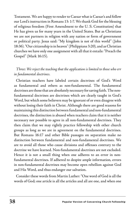Testament. We are happy to render to Caesar what is Caesar's and follow our Lord's instruction in Romans 13: 1-7. We thank God for the blessing of religious freedom (First Amendment to the U. S. Constitution) that He has given us for many years in the United States. But as Christians we are not partners in religion with any nation or form of government or political party. Jesus said: "My kingdom is not of this world" (John 18:36). "Our citizenship is in heaven" (Philippians 3:20), and as Christian churches we have only one assignment with all that it entails: "Preach the Gospel" (Mark 16:15).

#### *Three: We reject the teaching that the application is limited to those who err in fundamental doctrines.*

Christian teachers have labeled certain doctrines of God's Word as fundamental and others as non-fundamental. The fundamental doctrines are those that are absolutely necessary for saving faith. The nonfundamental doctrines are doctrines which are clearly taught in God's Word, but which some believers may be ignorant of or even disagree with without losing their faith in Christ. Although there are good reasons for maintaining this distinction between fundamental and non-fundamental doctrines, the distinction is abused when teachers claim that it is neither necessary nor possible to agree in all non-fundamental doctrines. They then claim that we may rightly practice fellowship with other church groups as long as we are in agreement on the fundamental doctrines. But Romans 16:17 and other Bible passages on separation make no distinction between fundamental and non-fundamental doctrines. We are to avoid all those who cause divisions and offenses contrary to the doctrine we have learned. Non-fundamental doctrines are not excluded. Hence it is not a small thing when one adheres to an error in nonfundamental doctrines. If adhered to despite ample information, errors in non-fundamental doctrines may become open rebellion against God and His Word, and thus endanger our salvation.

Consider these words from Martin Luther: "One word of God is all the words of God; one article is all the articles and all are one, and when one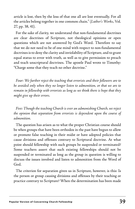article is lost, then by the loss of that one all are lost eventually. For all the articles belong together in one common chain." (*Luther's Works*, Vol. 27, pp. 38, 41).

For the sake of clarity, we understand that non-fundamental doctrines are clear doctrines of Scripture, not theological opinions or open questions which are not answered by God's Word. Therefore to say that we do not need to be of one mind with respect to non-fundamental doctrines is to deny the clarity and inviolability of Scripture, and to grant equal status to error with truth, as well as to give permission to preach and teach unscriptural doctrines. The apostle Paul wrote to Timothy: "Charge some that they teach no other doctrine."

*Four: We further reject the teaching that errorists and their followers are to be avoided only when they no longer listen to admonition, or that we are to remain in fellowship with errorists as long as we think there is hope that they might give up their errors.* 

*Five: Though the teaching Church is ever an admonishing Church, we reject the opinion that separation from errorists is dependent upon the course of admonition.* 

The question has arisen as to what the proper Christian course should be when groups that have been orthodox in the past have begun to allow or promote false teaching in their midst or have adopted policies that cause divisions and offenses contrary to Scriptural doctrine. At what point should fellowship with such groups be suspended or terminated? Some teachers assert that such existing fellowships should not be suspended or terminated as long as the group in question is willing to discuss the issues involved and listen to admonition from the Word of God.

The criterion for separation given us in Scripture, however, is this: Is the person or group causing divisions and offenses by their teaching or practice contrary to Scripture? When the determination has been made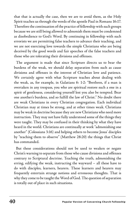that that is actually the case, then we are to avoid them, as the Holy Spirit teaches us through the words of the apostle Paul in Romans 16:17. Therefore the continuation of the practice of fellowship with such groups because we are still being allowed to admonish them must be condemned as disobedience to God's Word. By continuing in fellowship with such errorists we are permitting false teachers to advance their teaching, and we are not exercising love towards the simple Christians who are being deceived by the good words and fair speeches of the false teachers and those who are tolerating their divisions and offenses.

The argument is made that since Scripture directs us to bear the burdens of the weak, we should delay separation from such as cause divisions and offenses in the interest of Christian love and patience. We certainly agree with what Scripture teaches about dealing with the weak, as, for example, in Galatians 6: 1-2: "Brethren, if a man is overtaken in any trespass, you who are spiritual restore such a one in a spirit of gentleness, considering yourself lest you also be tempted. Bear one another's burdens, and so fulfill the law of Christ." No doubt there are weak Christians in every Christian congregation. Each individual Christian may at times be strong, and at other times weak. Christians may be weak in doctrine because they are new Christians who need more instruction. They may not have fully understood some of the things they were taught. They may be confused in their thinking by what they have heard in the world. Christians are continually at work "admonishing one another" (Colossians 3:16) and helping others to become Jesus' disciples by "teaching them to observe" (Matthew 28:20) the things that Christ has commanded.

But these considerations should not be used to weaken or negate Christ's warning to separate from those who cause divisions and offenses contrary to Scriptural doctrine. Teaching the truth, admonishing the erring, edifying the weak, instructing the wayward – all these have to do with disciples, learners, hearers. These learners and hearers may frequently entertain strange notions and erroneous thoughts. That is why they come to be taught the Word of God. The question of separation is totally out of place in such situations.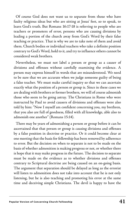Of course God does not want us to separate from those who have faulty religious ideas but who are sitting at Jesus' feet, so to speak, to learn God's truth. But Romans 16:17-18 is referring to people who are teachers or promoters of error, persons who are causing divisions by leading a portion of the church away from God's Word by their false teaching or practice. That is why we are to take note of them and avoid them. Church bodies or individual teachers who take a definite position contrary to God's Word, hold to it, and try to influence others cannot be considered weak brothers.

Nevertheless, we must not label a person or group as a causer of divisions and offenses without carefully examining the evidence. A person may express himself in words that are misunderstood. We need to be sure that we are accurate when we judge someone guilty of being a false teacher. We must make careful inquiry so that we can ascertain exactly what the position of a person or group is. Since in these cases we are dealing with brothers or former brothers, we will of course admonish those who seem to be going astray. The Christians in Rome who were instructed by Paul to avoid causers of divisions and offenses were also told by him: "Now I myself am confident concerning you, my brethren, that you also are full of goodness, filled with all knowledge, able also to admonish one another" (Romans 15:14).

There may be years of admonishing a person or group before it can be ascertained that that person or group is causing divisions and offenses by a false position in doctrine or practice. Or it could become clear at one meeting that the basis for fellowship has been removed by adherence to error. But the decision on when to separate is not to be made on the basis of whether admonition is making progress or not, or whether there is hope that it may make progress in the future. The decision to separate must be made on the evidence as to whether divisions and offenses contrary to Scriptural doctrine are being caused on an on-going basis. The argument that separation should be delayed as long as the errorist will listen to admonition does not take into account that he is not only listening, but he is also teaching and promoting his error at the same time and deceiving simple Christians. The devil is happy to have the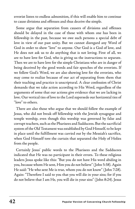errorist listen to endless admonition, if this will enable him to continue to cause divisions and offenses and thus deceive the simple.

Some argue that separation from causers of divisions and offenses should be delayed in the case of those with whom one has been in fellowship in the past, because we owe such persons a special debt of love in view of our past unity. But we cannot disregard any Word of God in order to show "love" to anyone. Our God is a God of love, and He does not ask us to do anything that is not loving. First of all, we are to have love for God, who is giving us the instructions to separate. Then we are to have love for the simple Christians who are in danger of being deceived by the good words and fair speeches of the errorists. If we follow God's Word, we are also showing love for the errorists, who may come to realize because of our act of separating from them that their teaching and practice is unscriptural. A clear confession of Christ demands that we take action according to His Word, regardless of the arguments of some that our actions give evidence that we are lacking in love. Our vertical ties of love to the Lord supersede our horizontal ties of "love" to others.

There are also those who argue that we should follow the example of Jesus, who did not break off fellowship with the Jewish synagogue and temple worship, even though this worship was governed by false and corrupt teachers, such as the Pharisees and Sadducees. But the sacrificial system of the Old Testament was established by God Himself, to be kept in place until the fulfillment was carried out by the Messiah's sacrifice, when God Himself tore the curtain that separated the Holy of Holies from the people.

Certainly Jesus' public words to the Pharisees and the Sadducees indicated that He was no participant in their errors. To these religious leaders Jesus spoke like this: "But you do not have His word abiding in you, because whom He sent, Him you do not believe" (John 5:38). Again He said: "He who sent Me is true, whom you do not know" (John 7:28). Again: "Therefore I said to you that you will die in your sins; for if you do not believe that I am He, you will die in your sins" (John 8:24). Jesus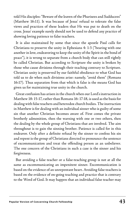told His disciples: "Beware of the leaven of the Pharisees and Sadducees" (Matthew 16:11). It was because of Jesus' refusal to tolerate the false views and practices of these leaders that He was put to death on the cross. Jesus' example surely should not be used to defend any practice of showing loving patience to false teachers.

It is also maintained by some that since the apostle Paul calls for Christians to preserve the unity in Ephesians 4: 1-3 ("bearing with one another in love, endeavoring to keep the unity of the Spirit in the bond of peace"), it is wrong to separate from a church body that can still rightly be called Christian. But according to Scripture the unity is broken by those who cause divisions through their teaching contrary to Scripture. Christian unity is preserved by our faithful obedience to what God has told us to do when such divisions arise: namely, "avoid them" (Romans 16:17). Thus separation from that which is false is the means God has given us for maintaining true unity in the church.

Great confusion has arisen in the church when our Lord's instruction in Matthew 18: 15-17, rather than Romans 16: 17-18, is used as the basis for dealing with false teachers and heterodox church bodies. The instruction in Matthew is for dealing with an individual sinner who is guilty of some sin that another Christian becomes aware of. First comes the private brotherly admonition, then the warning with one or two others, then the dealing by the whole group of Christians that are involved. The aim throughout is to gain the sinning brother. Patience is called for in this endeavor. Only after a definite refusal by the sinner to confess his sin and repent is the group of Christians directed to pronounce the sentence of excommunication and treat the offending person as an unbeliever. The one concern of the Christians in such a case is the sinner and his forgiveness.

But avoiding a false teacher or a false-teaching group is not at all the same as excommunicating an impenitent sinner. Excommunication is based on the evidence of an unrepentant heart. Avoiding false teachers is based on the evidence of on-going teaching and practice that is contrary to the Word of God. It may happen that an individual false teacher may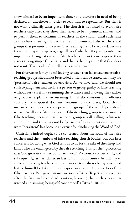show himself to be an impenitent sinner and therefore in need of being declared an unbeliever in order to lead him to repentance. But that is not what ordinarily takes place. The church is not asked to avoid false teachers only after they show themselves to be impenitent sinners, and to permit them to continue as teachers in the church until such time as the church can rightly declare them impenitent. False teachers and groups that promote or tolerate false teaching are to be avoided, because their teaching is dangerous, regardless of whether they are penitent or impenitent. Being patient with false teachers allows them to spread their errors among simple Christians, and that is the very thing that God does not want. That is why God tells us to avoid them.

For this reason it may be misleading to teach that false teachers or falseteaching groups should not be avoided until it can be stated that they are "persistent" false teachers or errorists. As we have said, we should not rush to judgment and declare a person or group guilty of false teaching without very carefully examining the evidence and allowing the teacher or group to explain their meaning. But if the divisions and offenses contrary to scriptural doctrine continue to take place, God clearly instructs us to avoid such a person or group. If the word "persistent" is used to allow a false teacher or false-teaching group to continue its false teaching, because that teacher or group is still willing to listen to admonition and thus may not be "persistent" in its intentions, then the word "persistent" has become an excuse for disobeying the Word of God.

Christians indeed ought to be concerned about the souls of the false teachers and the members of false-teaching church bodies. But our first concern is for doing what God tells us to do for the sake of the sheep and lambs who are endangered by the false teaching. It is for their protection that God gives us the instruction to "avoid." Previously, concurrently, and subsequently, as the Christian has call and opportunity, he will try to correct the erring teachers and their supporters, always being concerned lest he himself be taken in by the good words and fair speeches of the false teachers. Paul gave this instruction to Titus: "Reject a divisive man after the first and second admonition, knowing that such a person is warped and sinning, being self-condemned" (Titus 3: 10-11).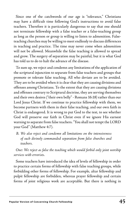Since one of the catchwords of our age is "tolerance," Christians may have a difficult time following God's instructions to avoid false teachers. Therefore it is particularly dangerous to say that one should not terminate fellowship with a false teacher or a false-teaching group as long as the person or group is willing to listen to admonition. Falseteaching churches may be willing to meet endlessly to discuss differences in teaching and practice. The time may never come when admonition will not be allowed. Meanwhile the false teaching is allowed to spread and grow. The surgery of separation may be painful, but it is what God has told us to do to halt the advance of the disease.

To sum up, we reject and condemn any limitations of the application of the scriptural injunction to separate from false teachers and groups that promote or tolerate false teaching. All who deviate are to be avoided. They are to be avoided when it is clear that they are causing divisions and offenses among Christians. To the extent that they are causing divisions and offenses contrary to Scriptural doctrine, they are serving themselves and their own desires ("their own belly" - Romans 16:18) rather than our Lord Jesus Christ. If we continue to practice fellowship with them, we become partners with them in their false teaching, and our own faith in Christ is endangered. It is wrong to put God to the test, to see whether God will preserve our faith in Christ even if we ignore His earnest warning to separate from false teachers. "You shall not tempt the LORD your God" (Matthew 4:7).

*B. We also reject and condemn all limitations on the intensiveness of such divinely commanded separation from false churches and teachers.* 

*One: We reject as false the teaching which would forbid only joint worship services with errorists.* 

Some teachers have introduced the idea of levels of fellowship in order to practice certain forms of fellowship with false teaching groups, while forbidding other forms of fellowship. For example, altar fellowship and pulpit fellowship are forbidden, whereas prayer fellowship and certain forms of joint religious work are acceptable. But there is nothing in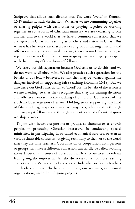Scripture that allows such distinctions. The word "avoid" in Romans 16:17 makes no such distinction. Whether we are communing together or sharing pulpits with each other or praying together or working together in some form of Christian ministry, we are declaring to one another and to the world that we have a common confession, that we are agreed in Christian teaching as brothers and sisters in Christ. But when it has become clear that a person or group is causing divisions and offenses contrary to Scriptural doctrine, then it is our Christian duty to separate ourselves from that person or group and no longer participate with them in any of these forms of fellowship.

We carry out this separation because God tells us to do this, and we do not want to disobey Him. We also practice such separation for the benefit of our fellow-believers, so that they may be warned against the dangers involved in supporting false teaching (Romans 16:18). But we also carry out God's instruction to "avoid" for the benefit of the errorists we are avoiding, so that they recognize that they are causing divisions and offenses contrary to the teaching of our Lord. Confession of the truth includes rejection of errors. Holding to or supporting any kind of false teaching, major or minor, is dangerous, whether it is through altar or pulpit fellowship or through some other kind of joint religious worship or work.

To join with heterodox persons or groups, as churches or as church people, in producing Christian literature, in conducting special ministries, in participating in so-called ecumenical services, or even in various charitable causes, is not giving testimony to them or to the world that they are false teachers. Coordination or cooperation with persons or groups that have a different confession can hardly be called avoiding them. Especially in times of doctrinal indifference we need to refrain from giving the impression that the divisions caused by false teaching are not serious. What could observers conclude when orthodox teachers and leaders join with the heterodox in religious seminars, ecumenical organizations, and other religious projects?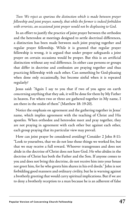*Two: We reject as spurious the distinction which is made between prayer fellowship and joint prayer, namely, that while the former is indeed forbidden with errorists, an occasional joint prayer would not be displeasing to God.* 

In an effort to justify the practice of joint prayer between the orthodox and the heterodox at meetings designed to settle doctrinal differences, a distinction has been made between such joint praying together and regular prayer fellowship. While it is granted that regular prayer fellowship is wrong, it is argued that under proper safeguards a joint prayer on certain occasions would be proper. But this is an artificial distinction without any real difference. In either case persons or groups that differ in doctrine and confession are praying together and thus practicing fellowship with each other. Can something be God-pleasing when done only occasionally, but become sinful when it is repeated regularly?

Jesus said: "Again I say to you that if two of you agree on earth concerning anything that they ask, it will be done for them by My Father in heaven. For where two or three are gathered together in My name, I am there in the midst of them" (Matthew 18: 19-20).

Notice the emphasis on agreement and the gathering together in Jesus' name, which implies agreement with the teaching of Christ and His apostles. When orthodox and heterodox meet and pray together, they are not praying in agreement with each other but against each other, each group praying that its particular view may prevail.

How can joint prayer be considered avoiding? Consider 2 John 8-11: "Look to yourselves, that we do not lose those things we worked for, but that we may receive a full reward. Whoever transgresses and does not abide in the doctrine of Christ does not have God. He who abides in the doctrine of Christ has both the Father and the Son. If anyone comes to you and does not bring this doctrine, do not receive him into your house nor greet him, for he who greets him shares in his evil deeds." John is not forbidding good manners and ordinary civility, but he is warning against a brotherly greeting that would carry spiritual implications. But if we are to deny a brotherly reception to a man because he is an adherent of false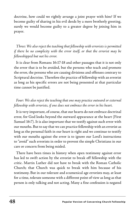doctrine, how could we rightly arrange a joint prayer with him? If we become guilty of sharing in his evil deeds by a mere brotherly greeting, surely we would become guilty to a greater degree by joining him in prayer.

#### *Three: We also reject the teaching that fellowship with errorists is permitted if there be no complicity with the error itself, or that the errorist may be fellowshipped but not his error.*

It is clear from Romans 16:17-18 and other passages that it is not only the error that is to be avoided, but the persons who teach and promote the error, the persons who are causing divisions and offenses contrary to Scriptural doctrine. Therefore the practice of fellowship with an errorist as long as his specific errors are not being presented at that particular time cannot be justified.

#### Four: We also reject the teaching that one may practice outward or external *fellowship with errorists, if one does not embrace the error in his heart.*

It is very important, of course, that our hearts do not embrace doctrinal error, for God looks beyond the outward appearance at the heart (First Samuel 16:7). It is also important that we testify against such error with our mouths. But to say that we can practice fellowship with an errorist as long as the personal faith in our heart is right and we continue to testify with our mouths against the error is to ignore our Lord's instructions to "avoid" such errorists in order to prevent the simple Christians in our care or concern from being misled.

There have been times in history when open testimony against error has led to swift action by the errorist to break off fellowship with the critic. Martin Luther did not have to break with the Roman Catholic Church; that Church was quick to break with him because of his testimony. But in our tolerant and ecumenical age errorists may, at least for a time, tolerate someone with a different point of view as long as that person is only talking and not acting. Many a fine confession is negated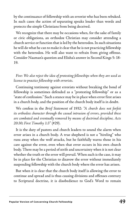by the continuance of fellowship with an errorist who has been rebuked. In such cases the action of separating speaks louder than words and protects the simple Christians from being deceived.

We recognize that there may be occasions when, for the sake of family or civic obligations, an orthodox Christian may consider attending a church service or function that is led by the heterodox. In such situations he will do what he can to make it clear that he is not practicing fellowship with the heterodox. He will also want to refrain from giving offense. Consider Naaman's question and Elisha's answer in Second Kings 5: 18- 19.

*Five: We also reject the idea of protesting fellowships when they are used as license to practice fellowship with errorists.* 

Continuing testimony against errorists without breaking the bond of fellowship is sometimes defended as a "protesting fellowship" or as a "state of confession." Such a stance may be in place when error first arises in a church body, and the position of the church body itself is in doubt.

We confess in the *Brief Statement* of 1932: *"A church does not forfeit its orthodox character through the casual intrusion of errors, provided these are combated and eventually removed by means of doctrinal discipline, Acts 20:30; First Timothy 1:3"* (#29).

It is the duty of pastors and church leaders to sound the alarm when error arises in a church body. A true shepherd is not a "hireling" who runs away when the wolf attacks, but he faithfully warns those in his care against the error, even when that error occurs in his own church body. There may be a period of strife and uncertainty when it is not clear whether the truth or the error will prevail. When such is the case, it may be in place for the Christian to disavow the error without immediately suspending fellowship with the church body where the error has arisen.

But when it is clear that the church body itself is allowing the error to continue and spread and is thus causing divisions and offenses contrary to Scriptural doctrine, it is disobedience to God's Word to remain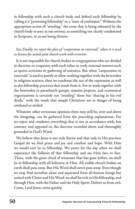in fellowship with such a church body and defend such fellowship by calling it a "protesting fellowship" or a "state of confession." Without the appropriate action of "avoiding," the error that is being tolerated by the church body is seen as not serious, as something not clearly condemned in Scripture, or as not being divisive.

*Six: Finally, we reject the plea of "cooperation in externals" when it is used as license for actual joint church work with errorists.* 

It is not impossible for church bodies or congregations who are divided in doctrine to cooperate with each other in truly external matters such as sports activities or gathering of statistics. But when "cooperation in externals" is used to justify or allow working together with the heterodox in religious matters, then we condemn the use of the expression as well as the fellowship practices that result from it. For to work together with the heterodox in parachurch groups, mission projects, and ecumenical organizations is certainly not "avoiding" them but "sharing in his evil deeds," with the result that simple Christians are in danger of being confused or misled.

Whatever other erroneous opinions there may still be, over and above the foregoing, can be gathered from the preceding explanations. For we reject and condemn everything that is not in accordance with, but contrary and opposed to, the doctrine recorded above and thoroughly grounded in God's Word.

We believe that Jesus is our only Savior and that only in His precious Gospel do we find peace and joy and comfort and hope. With Him we would ever be in fellowship. We yearn for the day when we shall experience the fullness of that fellowship and see Him face to face. There, with the great cloud of witnesses that has gone before, we shall be in fellowship with all believers in Him. All visible church bodies on earth shall pass away. But His Word shall never pass away. Even though we may find ourselves alone and separated from all human beings but united with Christ and His Word, we shall be rich in His fellowship, and through Him, with the Father and the Holy Spirit. Deliver us from evil. Come, Lord Jesus, come quickly.